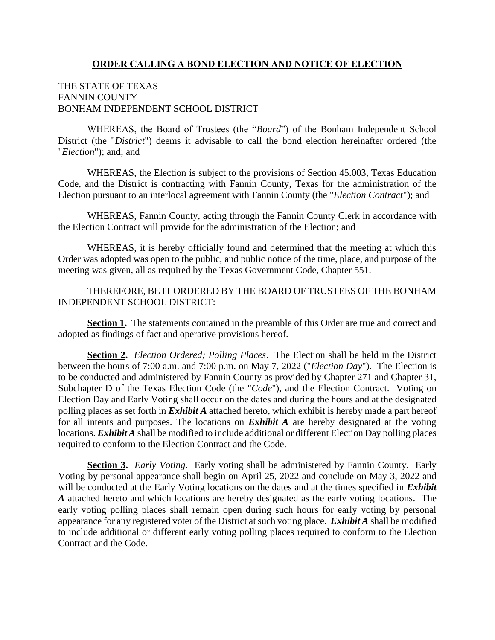# **ORDER CALLING A BOND ELECTION AND NOTICE OF ELECTION**

# THE STATE OF TEXAS FANNIN COUNTY BONHAM INDEPENDENT SCHOOL DISTRICT

WHEREAS, the Board of Trustees (the "*Board*") of the Bonham Independent School District (the "*District*") deems it advisable to call the bond election hereinafter ordered (the "*Election*"); and; and

WHEREAS, the Election is subject to the provisions of Section 45.003, Texas Education Code, and the District is contracting with Fannin County, Texas for the administration of the Election pursuant to an interlocal agreement with Fannin County (the "*Election Contract*"); and

WHEREAS, Fannin County, acting through the Fannin County Clerk in accordance with the Election Contract will provide for the administration of the Election; and

WHEREAS, it is hereby officially found and determined that the meeting at which this Order was adopted was open to the public, and public notice of the time, place, and purpose of the meeting was given, all as required by the Texas Government Code, Chapter 551.

# THEREFORE, BE IT ORDERED BY THE BOARD OF TRUSTEES OF THE BONHAM INDEPENDENT SCHOOL DISTRICT:

**Section 1.** The statements contained in the preamble of this Order are true and correct and adopted as findings of fact and operative provisions hereof.

**Section 2.** *Election Ordered; Polling Places*. The Election shall be held in the District between the hours of 7:00 a.m. and 7:00 p.m. on May 7, 2022 ("*Election Day*"). The Election is to be conducted and administered by Fannin County as provided by Chapter 271 and Chapter 31, Subchapter D of the Texas Election Code (the "*Code*"), and the Election Contract. Voting on Election Day and Early Voting shall occur on the dates and during the hours and at the designated polling places as set forth in *Exhibit A* attached hereto, which exhibit is hereby made a part hereof for all intents and purposes. The locations on *Exhibit A* are hereby designated at the voting locations. *Exhibit A* shall be modified to include additional or different Election Day polling places required to conform to the Election Contract and the Code.

**Section 3.** *Early Voting*. Early voting shall be administered by Fannin County. Early Voting by personal appearance shall begin on April 25, 2022 and conclude on May 3, 2022 and will be conducted at the Early Voting locations on the dates and at the times specified in *Exhibit A* attached hereto and which locations are hereby designated as the early voting locations. The early voting polling places shall remain open during such hours for early voting by personal appearance for any registered voter of the District at such voting place. *Exhibit A* shall be modified to include additional or different early voting polling places required to conform to the Election Contract and the Code.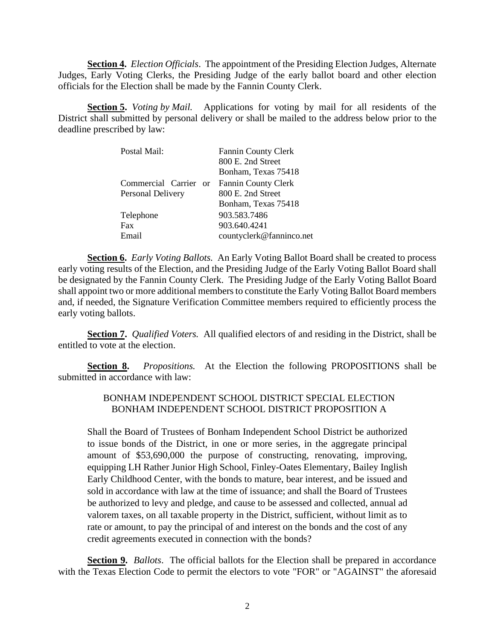**Section 4.** *Election Officials*. The appointment of the Presiding Election Judges, Alternate Judges, Early Voting Clerks, the Presiding Judge of the early ballot board and other election officials for the Election shall be made by the Fannin County Clerk.

**Section 5.** *Voting by Mail.* Applications for voting by mail for all residents of the District shall submitted by personal delivery or shall be mailed to the address below prior to the deadline prescribed by law:

| Fannin County Clerk      |
|--------------------------|
| 800 E. 2nd Street        |
| Bonham, Texas 75418      |
| Fannin County Clerk      |
| 800 E. 2nd Street        |
| Bonham, Texas 75418      |
| 903.583.7486             |
| 903.640.4241             |
| countyclerk@fanninco.net |
|                          |

**Section 6.** *Early Voting Ballots.* An Early Voting Ballot Board shall be created to process early voting results of the Election, and the Presiding Judge of the Early Voting Ballot Board shall be designated by the Fannin County Clerk. The Presiding Judge of the Early Voting Ballot Board shall appoint two or more additional members to constitute the Early Voting Ballot Board members and, if needed, the Signature Verification Committee members required to efficiently process the early voting ballots.

**Section 7.** *Qualified Voters.* All qualified electors of and residing in the District, shall be entitled to vote at the election.

**Section 8.** *Propositions.* At the Election the following PROPOSITIONS shall be submitted in accordance with law:

## BONHAM INDEPENDENT SCHOOL DISTRICT SPECIAL ELECTION BONHAM INDEPENDENT SCHOOL DISTRICT PROPOSITION A

Shall the Board of Trustees of Bonham Independent School District be authorized to issue bonds of the District, in one or more series, in the aggregate principal amount of \$53,690,000 the purpose of constructing, renovating, improving, equipping LH Rather Junior High School, Finley-Oates Elementary, Bailey Inglish Early Childhood Center, with the bonds to mature, bear interest, and be issued and sold in accordance with law at the time of issuance; and shall the Board of Trustees be authorized to levy and pledge, and cause to be assessed and collected, annual ad valorem taxes, on all taxable property in the District, sufficient, without limit as to rate or amount, to pay the principal of and interest on the bonds and the cost of any credit agreements executed in connection with the bonds?

**Section 9.** *Ballots*. The official ballots for the Election shall be prepared in accordance with the Texas Election Code to permit the electors to vote "FOR" or "AGAINST" the aforesaid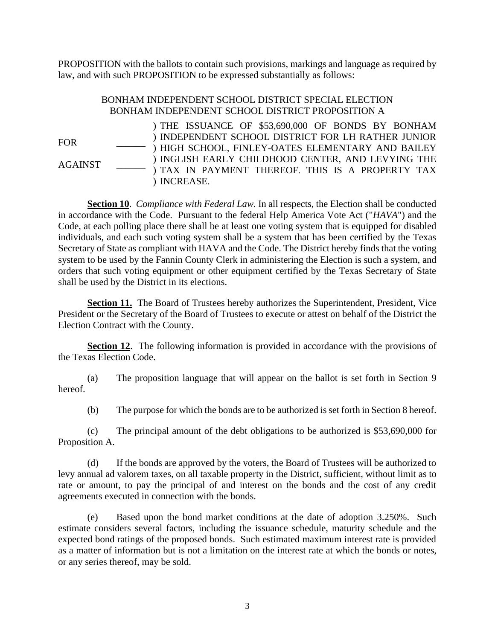PROPOSITION with the ballots to contain such provisions, markings and language as required by law, and with such PROPOSITION to be expressed substantially as follows:

# BONHAM INDEPENDENT SCHOOL DISTRICT SPECIAL ELECTION BONHAM INDEPENDENT SCHOOL DISTRICT PROPOSITION A

FOR \_\_\_\_\_\_ AGAINST \_\_\_\_\_\_ ) THE ISSUANCE OF \$53,690,000 OF BONDS BY BONHAM ) INDEPENDENT SCHOOL DISTRICT FOR LH RATHER JUNIOR ) HIGH SCHOOL, FINLEY-OATES ELEMENTARY AND BAILEY ) INGLISH EARLY CHILDHOOD CENTER, AND LEVYING THE ) TAX IN PAYMENT THEREOF. THIS IS A PROPERTY TAX ) INCREASE.

**Section 10**. *Compliance with Federal Law.* In all respects, the Election shall be conducted in accordance with the Code. Pursuant to the federal Help America Vote Act ("*HAVA*") and the Code, at each polling place there shall be at least one voting system that is equipped for disabled individuals, and each such voting system shall be a system that has been certified by the Texas Secretary of State as compliant with HAVA and the Code. The District hereby finds that the voting system to be used by the Fannin County Clerk in administering the Election is such a system, and orders that such voting equipment or other equipment certified by the Texas Secretary of State shall be used by the District in its elections.

**Section 11.** The Board of Trustees hereby authorizes the Superintendent, President, Vice President or the Secretary of the Board of Trustees to execute or attest on behalf of the District the Election Contract with the County.

**Section 12.** The following information is provided in accordance with the provisions of the Texas Election Code.

(a) The proposition language that will appear on the ballot is set forth in Section 9 hereof.

(b) The purpose for which the bonds are to be authorized is set forth in Section 8 hereof.

(c) The principal amount of the debt obligations to be authorized is \$53,690,000 for Proposition A.

(d) If the bonds are approved by the voters, the Board of Trustees will be authorized to levy annual ad valorem taxes, on all taxable property in the District, sufficient, without limit as to rate or amount, to pay the principal of and interest on the bonds and the cost of any credit agreements executed in connection with the bonds.

(e) Based upon the bond market conditions at the date of adoption 3.250%. Such estimate considers several factors, including the issuance schedule, maturity schedule and the expected bond ratings of the proposed bonds. Such estimated maximum interest rate is provided as a matter of information but is not a limitation on the interest rate at which the bonds or notes, or any series thereof, may be sold.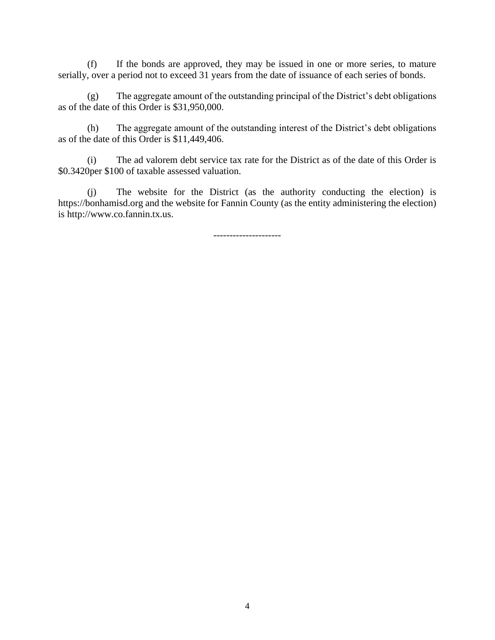(f) If the bonds are approved, they may be issued in one or more series, to mature serially, over a period not to exceed 31 years from the date of issuance of each series of bonds.

(g) The aggregate amount of the outstanding principal of the District's debt obligations as of the date of this Order is \$31,950,000.

(h) The aggregate amount of the outstanding interest of the District's debt obligations as of the date of this Order is \$11,449,406.

(i) The ad valorem debt service tax rate for the District as of the date of this Order is \$0.3420per \$100 of taxable assessed valuation.

(j) The website for the District (as the authority conducting the election) is https://bonhamisd.org and the website for Fannin County (as the entity administering the election) is http://www.co.fannin.tx.us.

---------------------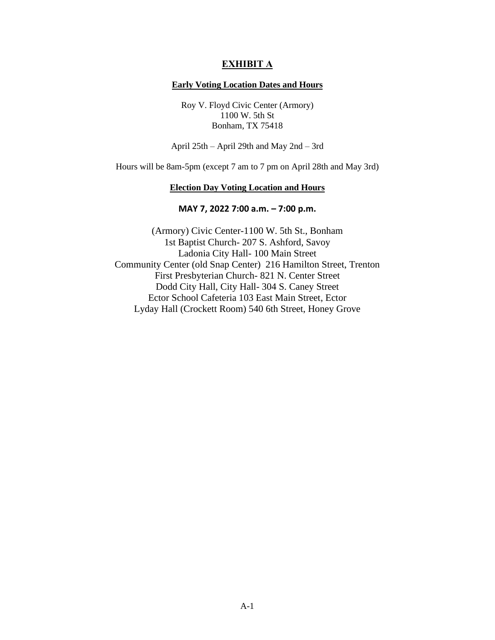## **EXHIBIT A**

### **Early Voting Location Dates and Hours**

Roy V. Floyd Civic Center (Armory) 1100 W. 5th St Bonham, TX 75418

April 25th – April 29th and May 2nd – 3rd

Hours will be 8am-5pm (except 7 am to 7 pm on April 28th and May 3rd)

### **Election Day Voting Location and Hours**

## **MAY 7, 2022 7:00 a.m. – 7:00 p.m.**

(Armory) Civic Center-1100 W. 5th St., Bonham 1st Baptist Church- 207 S. Ashford, Savoy Ladonia City Hall- 100 Main Street Community Center (old Snap Center) 216 Hamilton Street, Trenton First Presbyterian Church- 821 N. Center Street Dodd City Hall, City Hall- 304 S. Caney Street Ector School Cafeteria 103 East Main Street, Ector Lyday Hall (Crockett Room) 540 6th Street, Honey Grove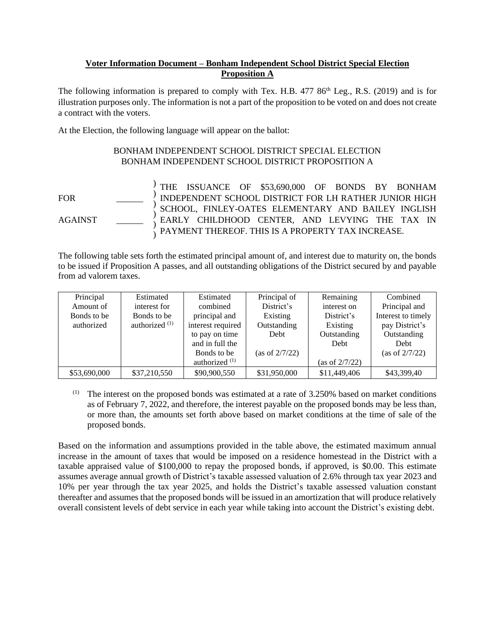## **Voter Information Document – Bonham Independent School District Special Election Proposition A**

The following information is prepared to comply with Tex. H.B.  $47786<sup>th</sup>$  Leg., R.S. (2019) and is for illustration purposes only. The information is not a part of the proposition to be voted on and does not create a contract with the voters.

At the Election, the following language will appear on the ballot:

) ) ) ) ) )

# BONHAM INDEPENDENT SCHOOL DISTRICT SPECIAL ELECTION BONHAM INDEPENDENT SCHOOL DISTRICT PROPOSITION A

FOR \_\_\_\_\_\_

AGAINST \_\_\_\_\_\_

THE ISSUANCE OF \$53,690,000 OF BONDS BY BONHAM INDEPENDENT SCHOOL DISTRICT FOR LH RATHER JUNIOR HIGH SCHOOL, FINLEY-OATES ELEMENTARY AND BAILEY INGLISH EARLY CHILDHOOD CENTER, AND LEVYING THE TAX IN PAYMENT THEREOF. THIS IS A PROPERTY TAX INCREASE.

The following table sets forth the estimated principal amount of, and interest due to maturity on, the bonds to be issued if Proposition A passes, and all outstanding obligations of the District secured by and payable from ad valorem taxes.

| Principal    | Estimated        | Estimated         | Principal of      | Remaining         | Combined           |
|--------------|------------------|-------------------|-------------------|-------------------|--------------------|
| Amount of    | interest for     | combined          | District's        | interest on       | Principal and      |
| Bonds to be  | Bonds to be      | principal and     | Existing          | District's        | Interest to timely |
| authorized   | authorized $(1)$ | interest required | Outstanding       | Existing          | pay District's     |
|              |                  | to pay on time    | Debt              | Outstanding       | Outstanding        |
|              |                  | and in full the   |                   | Debt              | Debt               |
|              |                  | Bonds to be       | (as of $2/7/22$ ) |                   | (as of $2/7/22$ )  |
|              |                  | authorized $(1)$  |                   | (as of $2/7/22$ ) |                    |
| \$53,690,000 | \$37,210,550     | \$90,900,550      | \$31,950,000      | \$11,449,406      | \$43,399,40        |

 $(1)$  The interest on the proposed bonds was estimated at a rate of 3.250% based on market conditions as of February 7, 2022, and therefore, the interest payable on the proposed bonds may be less than, or more than, the amounts set forth above based on market conditions at the time of sale of the proposed bonds.

Based on the information and assumptions provided in the table above, the estimated maximum annual increase in the amount of taxes that would be imposed on a residence homestead in the District with a taxable appraised value of \$100,000 to repay the proposed bonds, if approved, is \$0.00. This estimate assumes average annual growth of District's taxable assessed valuation of 2.6% through tax year 2023 and 10% per year through the tax year 2025, and holds the District's taxable assessed valuation constant thereafter and assumes that the proposed bonds will be issued in an amortization that will produce relatively overall consistent levels of debt service in each year while taking into account the District's existing debt.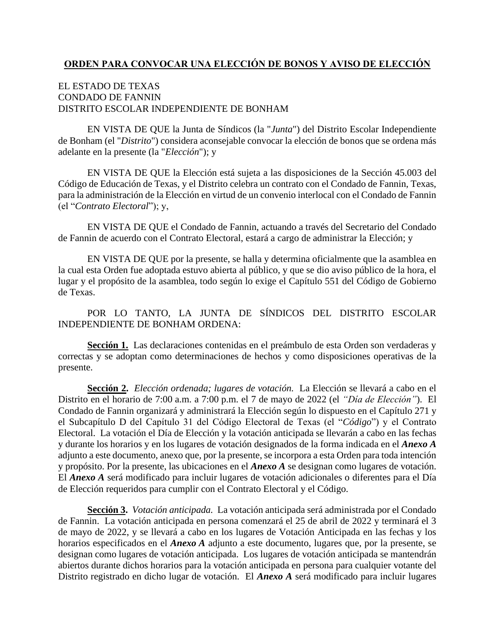# **ORDEN PARA CONVOCAR UNA ELECCIÓN DE BONOS Y AVISO DE ELECCIÓN**

# EL ESTADO DE TEXAS CONDADO DE FANNIN DISTRITO ESCOLAR INDEPENDIENTE DE BONHAM

EN VISTA DE QUE la Junta de Síndicos (la "*Junta*") del Distrito Escolar Independiente de Bonham (el "*Distrito*") considera aconsejable convocar la elección de bonos que se ordena más adelante en la presente (la "*Elección*"); y

EN VISTA DE QUE la Elección está sujeta a las disposiciones de la Sección 45.003 del Código de Educación de Texas, y el Distrito celebra un contrato con el Condado de Fannin, Texas, para la administración de la Elección en virtud de un convenio interlocal con el Condado de Fannin (el "*Contrato Electoral*"); y,

EN VISTA DE QUE el Condado de Fannin, actuando a través del Secretario del Condado de Fannin de acuerdo con el Contrato Electoral, estará a cargo de administrar la Elección; y

EN VISTA DE QUE por la presente, se halla y determina oficialmente que la asamblea en la cual esta Orden fue adoptada estuvo abierta al público, y que se dio aviso público de la hora, el lugar y el propósito de la asamblea, todo según lo exige el Capítulo 551 del Código de Gobierno de Texas.

POR LO TANTO, LA JUNTA DE SÍNDICOS DEL DISTRITO ESCOLAR INDEPENDIENTE DE BONHAM ORDENA:

Sección 1. Las declaraciones contenidas en el preámbulo de esta Orden son verdaderas y correctas y se adoptan como determinaciones de hechos y como disposiciones operativas de la presente.

**Sección 2.** *Elección ordenada; lugares de votación.* La Elección se llevará a cabo en el Distrito en el horario de 7:00 a.m. a 7:00 p.m. el 7 de mayo de 2022 (el *"Día de Elección"*). El Condado de Fannin organizará y administrará la Elección según lo dispuesto en el Capítulo 271 y el Subcapítulo D del Capítulo 31 del Código Electoral de Texas (el "*Código*") y el Contrato Electoral. La votación el Día de Elección y la votación anticipada se llevarán a cabo en las fechas y durante los horarios y en los lugares de votación designados de la forma indicada en el *Anexo A* adjunto a este documento, anexo que, por la presente, se incorpora a esta Orden para toda intención y propósito. Por la presente, las ubicaciones en el *Anexo A* se designan como lugares de votación. El *Anexo A* será modificado para incluir lugares de votación adicionales o diferentes para el Día de Elección requeridos para cumplir con el Contrato Electoral y el Código.

**Sección 3.** *Votación anticipada.* La votación anticipada será administrada por el Condado de Fannin. La votación anticipada en persona comenzará el 25 de abril de 2022 y terminará el 3 de mayo de 2022, y se llevará a cabo en los lugares de Votación Anticipada en las fechas y los horarios especificados en el *Anexo A* adjunto a este documento, lugares que, por la presente, se designan como lugares de votación anticipada. Los lugares de votación anticipada se mantendrán abiertos durante dichos horarios para la votación anticipada en persona para cualquier votante del Distrito registrado en dicho lugar de votación. El *Anexo A* será modificado para incluir lugares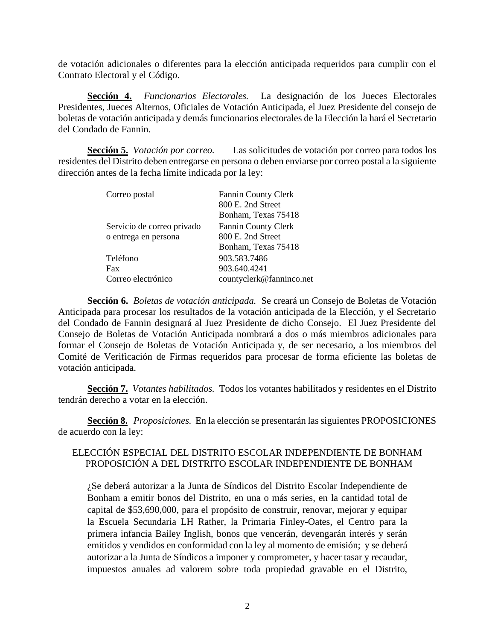de votación adicionales o diferentes para la elección anticipada requeridos para cumplir con el Contrato Electoral y el Código.

**Sección 4.** *Funcionarios Electorales.* La designación de los Jueces Electorales Presidentes, Jueces Alternos, Oficiales de Votación Anticipada, el Juez Presidente del consejo de boletas de votación anticipada y demás funcionarios electorales de la Elección la hará el Secretario del Condado de Fannin.

**Sección 5.** *Votación por correo.* Las solicitudes de votación por correo para todos los residentes del Distrito deben entregarse en persona o deben enviarse por correo postal a la siguiente dirección antes de la fecha límite indicada por la ley:

| Correo postal              | <b>Fannin County Clerk</b> |
|----------------------------|----------------------------|
|                            | 800 E. 2nd Street          |
|                            | Bonham, Texas 75418        |
| Servicio de correo privado | <b>Fannin County Clerk</b> |
| o entrega en persona       | 800 E. 2nd Street          |
|                            | Bonham, Texas 75418        |
| Teléfono                   | 903.583.7486               |
| Fax                        | 903.640.4241               |
| Correo electrónico         | countyclerk@fanninco.net   |

**Sección 6.** *Boletas de votación anticipada.* Se creará un Consejo de Boletas de Votación Anticipada para procesar los resultados de la votación anticipada de la Elección, y el Secretario del Condado de Fannin designará al Juez Presidente de dicho Consejo. El Juez Presidente del Consejo de Boletas de Votación Anticipada nombrará a dos o más miembros adicionales para formar el Consejo de Boletas de Votación Anticipada y, de ser necesario, a los miembros del Comité de Verificación de Firmas requeridos para procesar de forma eficiente las boletas de votación anticipada.

**Sección 7.** *Votantes habilitados.* Todos los votantes habilitados y residentes en el Distrito tendrán derecho a votar en la elección.

**Sección 8.** *Proposiciones.* En la elección se presentarán las siguientes PROPOSICIONES de acuerdo con la ley:

## ELECCIÓN ESPECIAL DEL DISTRITO ESCOLAR INDEPENDIENTE DE BONHAM PROPOSICIÓN A DEL DISTRITO ESCOLAR INDEPENDIENTE DE BONHAM

¿Se deberá autorizar a la Junta de Síndicos del Distrito Escolar Independiente de Bonham a emitir bonos del Distrito, en una o más series, en la cantidad total de capital de \$53,690,000, para el propósito de construir, renovar, mejorar y equipar la Escuela Secundaria LH Rather, la Primaria Finley-Oates, el Centro para la primera infancia Bailey Inglish, bonos que vencerán, devengarán interés y serán emitidos y vendidos en conformidad con la ley al momento de emisión; y se deberá autorizar a la Junta de Síndicos a imponer y comprometer, y hacer tasar y recaudar, impuestos anuales ad valorem sobre toda propiedad gravable en el Distrito,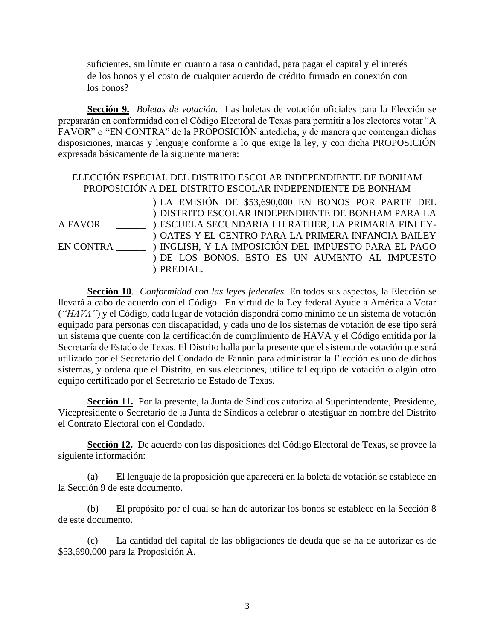suficientes, sin límite en cuanto a tasa o cantidad, para pagar el capital y el interés de los bonos y el costo de cualquier acuerdo de crédito firmado en conexión con los bonos?

**Sección 9.** *Boletas de votación.* Las boletas de votación oficiales para la Elección se prepararán en conformidad con el Código Electoral de Texas para permitir a los electores votar "A FAVOR" o "EN CONTRA" de la PROPOSICIÓN antedicha, y de manera que contengan dichas disposiciones, marcas y lenguaje conforme a lo que exige la ley, y con dicha PROPOSICIÓN expresada básicamente de la siguiente manera:

## ELECCIÓN ESPECIAL DEL DISTRITO ESCOLAR INDEPENDIENTE DE BONHAM PROPOSICIÓN A DEL DISTRITO ESCOLAR INDEPENDIENTE DE BONHAM

A FAVOR

EN CONTRA \_\_\_\_\_\_ ) INGLISH, Y LA IMPOSICIÓN DEL IMPUESTO PARA EL PAGO ) LA EMISIÓN DE \$53,690,000 EN BONOS POR PARTE DEL ) DISTRITO ESCOLAR INDEPENDIENTE DE BONHAM PARA LA ) ESCUELA SECUNDARIA LH RATHER, LA PRIMARIA FINLEY-) OATES Y EL CENTRO PARA LA PRIMERA INFANCIA BAILEY ) DE LOS BONOS. ESTO ES UN AUMENTO AL IMPUESTO ) PREDIAL.

**Sección 10**. *Conformidad con las leyes federales.* En todos sus aspectos, la Elección se llevará a cabo de acuerdo con el Código. En virtud de la Ley federal Ayude a América a Votar (*"HAVA"*) y el Código, cada lugar de votación dispondrá como mínimo de un sistema de votación equipado para personas con discapacidad, y cada uno de los sistemas de votación de ese tipo será un sistema que cuente con la certificación de cumplimiento de HAVA y el Código emitida por la Secretaría de Estado de Texas. El Distrito halla por la presente que el sistema de votación que será utilizado por el Secretario del Condado de Fannin para administrar la Elección es uno de dichos sistemas, y ordena que el Distrito, en sus elecciones, utilice tal equipo de votación o algún otro equipo certificado por el Secretario de Estado de Texas.

**Sección 11.** Por la presente, la Junta de Síndicos autoriza al Superintendente, Presidente, Vicepresidente o Secretario de la Junta de Síndicos a celebrar o atestiguar en nombre del Distrito el Contrato Electoral con el Condado.

**Sección 12.** De acuerdo con las disposiciones del Código Electoral de Texas, se provee la siguiente información:

(a) El lenguaje de la proposición que aparecerá en la boleta de votación se establece en la Sección 9 de este documento.

(b) El propósito por el cual se han de autorizar los bonos se establece en la Sección 8 de este documento.

(c) La cantidad del capital de las obligaciones de deuda que se ha de autorizar es de \$53,690,000 para la Proposición A.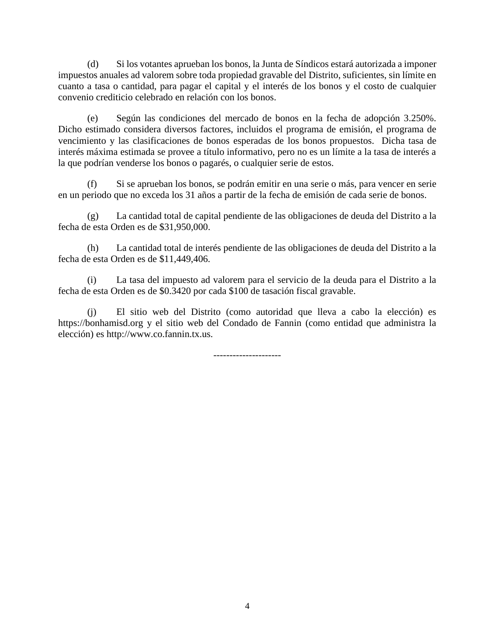(d) Si los votantes aprueban los bonos, la Junta de Síndicos estará autorizada a imponer impuestos anuales ad valorem sobre toda propiedad gravable del Distrito, suficientes, sin límite en cuanto a tasa o cantidad, para pagar el capital y el interés de los bonos y el costo de cualquier convenio crediticio celebrado en relación con los bonos.

(e) Según las condiciones del mercado de bonos en la fecha de adopción 3.250%. Dicho estimado considera diversos factores, incluidos el programa de emisión, el programa de vencimiento y las clasificaciones de bonos esperadas de los bonos propuestos. Dicha tasa de interés máxima estimada se provee a título informativo, pero no es un límite a la tasa de interés a la que podrían venderse los bonos o pagarés, o cualquier serie de estos.

(f) Si se aprueban los bonos, se podrán emitir en una serie o más, para vencer en serie en un periodo que no exceda los 31 años a partir de la fecha de emisión de cada serie de bonos.

(g) La cantidad total de capital pendiente de las obligaciones de deuda del Distrito a la fecha de esta Orden es de \$31,950,000.

(h) La cantidad total de interés pendiente de las obligaciones de deuda del Distrito a la fecha de esta Orden es de \$11,449,406.

(i) La tasa del impuesto ad valorem para el servicio de la deuda para el Distrito a la fecha de esta Orden es de \$0.3420 por cada \$100 de tasación fiscal gravable.

(j) El sitio web del Distrito (como autoridad que lleva a cabo la elección) es https://bonhamisd.org y el sitio web del Condado de Fannin (como entidad que administra la elección) es http://www.co.fannin.tx.us.

---------------------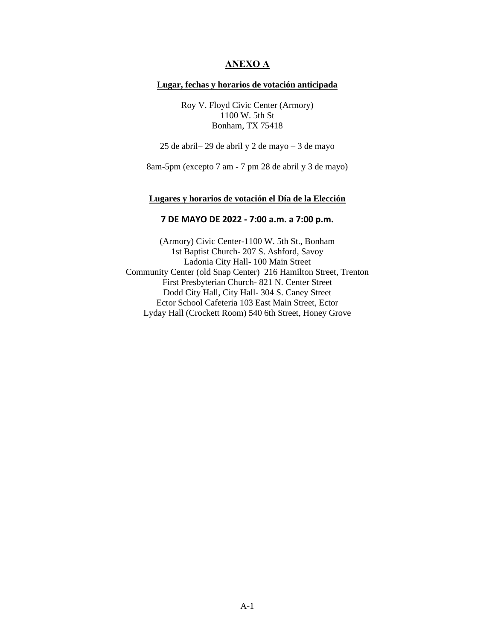## **ANEXO A**

#### **Lugar, fechas y horarios de votación anticipada**

Roy V. Floyd Civic Center (Armory) 1100 W. 5th St Bonham, TX 75418

25 de abril– 29 de abril y 2 de mayo – 3 de mayo

8am-5pm (excepto 7 am - 7 pm 28 de abril y 3 de mayo)

### **Lugares y horarios de votación el Día de la Elección**

### **7 DE MAYO DE 2022 - 7:00 a.m. a 7:00 p.m.**

(Armory) Civic Center-1100 W. 5th St., Bonham 1st Baptist Church- 207 S. Ashford, Savoy Ladonia City Hall- 100 Main Street Community Center (old Snap Center) 216 Hamilton Street, Trenton First Presbyterian Church- 821 N. Center Street Dodd City Hall, City Hall- 304 S. Caney Street Ector School Cafeteria 103 East Main Street, Ector Lyday Hall (Crockett Room) 540 6th Street, Honey Grove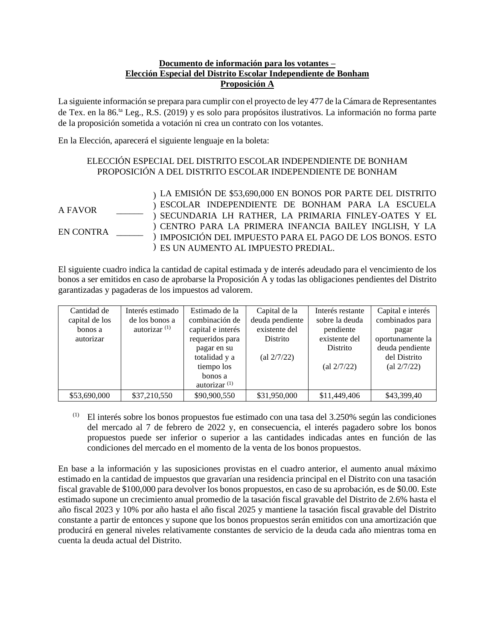## **Documento de información para los votantes – Elección Especial del Distrito Escolar Independiente de Bonham Proposición A**

La siguiente información se prepara para cumplir con el proyecto de ley 477 de la Cámara de Representantes de Tex. en la 86.ta Leg., R.S. (2019) y es solo para propósitos ilustrativos. La información no forma parte de la proposición sometida a votación ni crea un contrato con los votantes.

En la Elección, aparecerá el siguiente lenguaje en la boleta:

## ELECCIÓN ESPECIAL DEL DISTRITO ESCOLAR INDEPENDIENTE DE BONHAM PROPOSICIÓN A DEL DISTRITO ESCOLAR INDEPENDIENTE DE BONHAM

A FAVOR EN CONTRA \_\_\_\_\_\_ ) LA EMISIÓN DE \$53,690,000 EN BONOS POR PARTE DEL DISTRITO ) ESCOLAR INDEPENDIENTE DE BONHAM PARA LA ESCUELA ) SECUNDARIA LH RATHER, LA PRIMARIA FINLEY-OATES Y EL ) CENTRO PARA LA PRIMERA INFANCIA BAILEY INGLISH, Y LA ) IMPOSICIÓN DEL IMPUESTO PARA EL PAGO DE LOS BONOS. ESTO ) ES UN AUMENTO AL IMPUESTO PREDIAL.

El siguiente cuadro indica la cantidad de capital estimada y de interés adeudado para el vencimiento de los bonos a ser emitidos en caso de aprobarse la Proposición A y todas las obligaciones pendientes del Distrito garantizadas y pagaderas de los impuestos ad valorem.

|                | Interés estimado |                   |                                    |                                    |                                    |
|----------------|------------------|-------------------|------------------------------------|------------------------------------|------------------------------------|
| Cantidad de    |                  | Estimado de la    | Capital de la                      | Interés restante                   | Capital e interés                  |
| capital de los | de los bonos a   | combinación de    | deuda pendiente                    | sobre la deuda                     | combinados para                    |
| bonos a        | autorizar $(1)$  | capital e interés | existente del                      | pendiente                          | pagar                              |
| autorizar      |                  | requeridos para   | Distrito                           | existente del                      | oportunamente la                   |
|                |                  | pagar en su       |                                    | Distrito                           | deuda pendiente                    |
|                |                  | totalidad y a     | $\left( \text{al } 2/7/22 \right)$ |                                    | del Distrito                       |
|                |                  | tiempo los        |                                    | $\left( \text{al } 2/7/22 \right)$ | $\left( \text{al } 2/7/22 \right)$ |
|                |                  | bonos a           |                                    |                                    |                                    |
|                |                  | autorizar $(1)$   |                                    |                                    |                                    |
| \$53,690,000   | \$37,210,550     | \$90,900,550      | \$31,950,000                       | \$11,449,406                       | \$43,399,40                        |

 $<sup>(1)</sup>$  El interés sobre los bonos propuestos fue estimado con una tasa del 3.250% según las condiciones</sup> del mercado al 7 de febrero de 2022 y, en consecuencia, el interés pagadero sobre los bonos propuestos puede ser inferior o superior a las cantidades indicadas antes en función de las condiciones del mercado en el momento de la venta de los bonos propuestos.

En base a la información y las suposiciones provistas en el cuadro anterior, el aumento anual máximo estimado en la cantidad de impuestos que gravarían una residencia principal en el Distrito con una tasación fiscal gravable de \$100,000 para devolver los bonos propuestos, en caso de su aprobación, es de \$0.00. Este estimado supone un crecimiento anual promedio de la tasación fiscal gravable del Distrito de 2.6% hasta el año fiscal 2023 y 10% por año hasta el año fiscal 2025 y mantiene la tasación fiscal gravable del Distrito constante a partir de entonces y supone que los bonos propuestos serán emitidos con una amortización que producirá en general niveles relativamente constantes de servicio de la deuda cada año mientras toma en cuenta la deuda actual del Distrito.